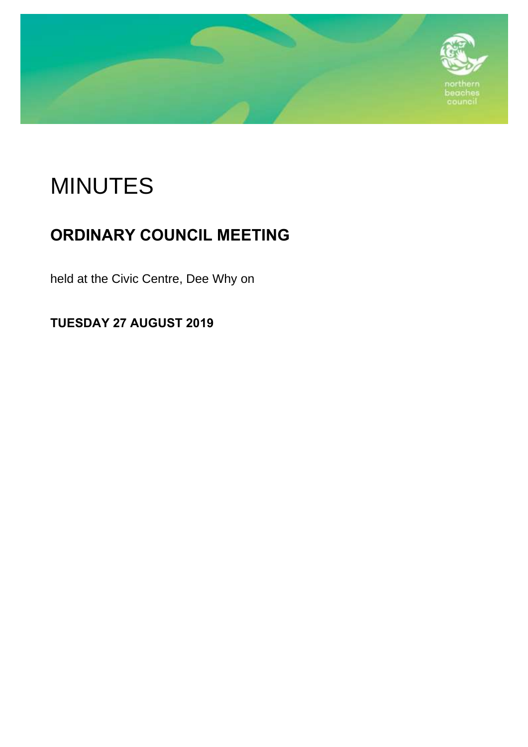

# MINUTES

## **ORDINARY COUNCIL MEETING**

held at the Civic Centre, Dee Why on

**TUESDAY 27 AUGUST 2019**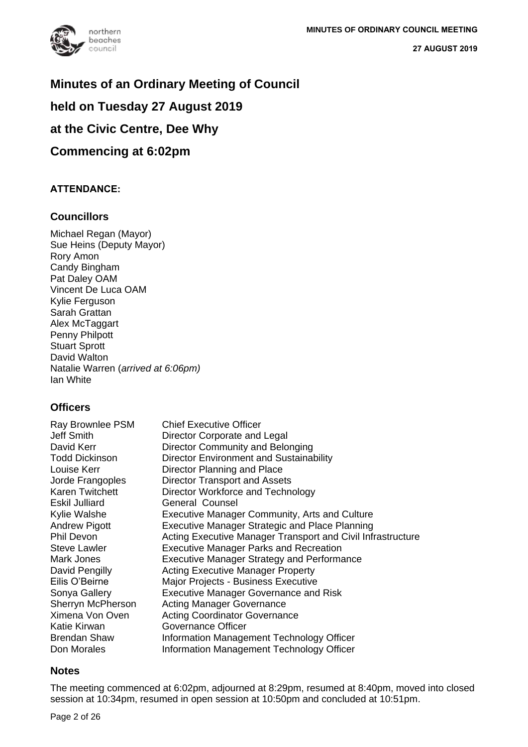

### **Minutes of an Ordinary Meeting of Council**

### **held on Tuesday 27 August 2019**

### **at the Civic Centre, Dee Why**

### **Commencing at 6:02pm**

### **ATTENDANCE:**

### **Councillors**

Michael Regan (Mayor) Sue Heins (Deputy Mayor) Rory Amon Candy Bingham Pat Daley OAM Vincent De Luca OAM Kylie Ferguson Sarah Grattan Alex McTaggart Penny Philpott Stuart Sprott David Walton Natalie Warren (*arrived at 6:06pm)* Ian White

### **Officers**

| Ray Brownlee PSM       | <b>Chief Executive Officer</b>                              |
|------------------------|-------------------------------------------------------------|
| <b>Jeff Smith</b>      | Director Corporate and Legal                                |
| David Kerr             | Director Community and Belonging                            |
| <b>Todd Dickinson</b>  | <b>Director Environment and Sustainability</b>              |
| Louise Kerr            | Director Planning and Place                                 |
| Jorde Frangoples       | <b>Director Transport and Assets</b>                        |
| <b>Karen Twitchett</b> | Director Workforce and Technology                           |
| Eskil Julliard         | General Counsel                                             |
| Kylie Walshe           | Executive Manager Community, Arts and Culture               |
| <b>Andrew Pigott</b>   | <b>Executive Manager Strategic and Place Planning</b>       |
| Phil Devon             | Acting Executive Manager Transport and Civil Infrastructure |
| Steve Lawler           | <b>Executive Manager Parks and Recreation</b>               |
| Mark Jones             | <b>Executive Manager Strategy and Performance</b>           |
| David Pengilly         | <b>Acting Executive Manager Property</b>                    |
| Eilis O'Beirne         | Major Projects - Business Executive                         |
| Sonya Gallery          | <b>Executive Manager Governance and Risk</b>                |
| Sherryn McPherson      | <b>Acting Manager Governance</b>                            |
| Ximena Von Oven        | <b>Acting Coordinator Governance</b>                        |
| Katie Kirwan           | Governance Officer                                          |
| <b>Brendan Shaw</b>    | Information Management Technology Officer                   |
| Don Morales            | Information Management Technology Officer                   |

### **Notes**

The meeting commenced at 6:02pm, adjourned at 8:29pm, resumed at 8:40pm, moved into closed session at 10:34pm, resumed in open session at 10:50pm and concluded at 10:51pm.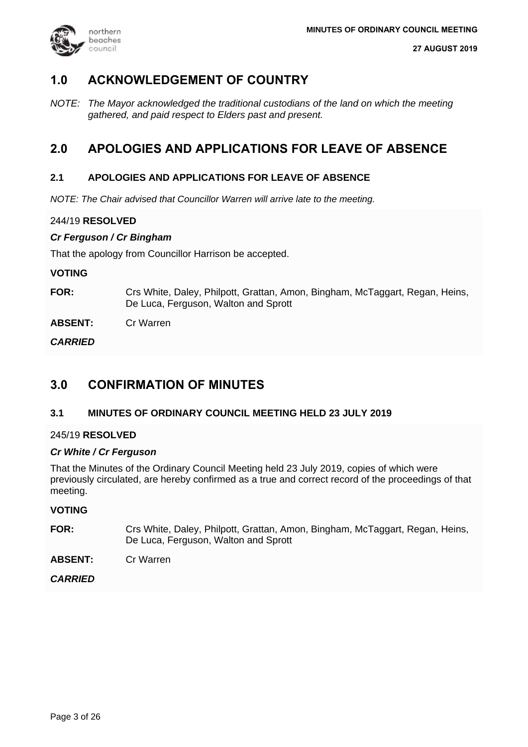

### **1.0 ACKNOWLEDGEMENT OF COUNTRY**

*NOTE: The Mayor acknowledged the traditional custodians of the land on which the meeting gathered, and paid respect to Elders past and present.*

### **2.0 APOLOGIES AND APPLICATIONS FOR LEAVE OF ABSENCE**

### **2.1 APOLOGIES AND APPLICATIONS FOR LEAVE OF ABSENCE**

*NOTE: The Chair advised that Councillor Warren will arrive late to the meeting.*

### 244/19 **RESOLVED**

### *Cr Ferguson / Cr Bingham*

That the apology from Councillor Harrison be accepted.

### **VOTING**

**FOR:** Crs White, Daley, Philpott, Grattan, Amon, Bingham, McTaggart, Regan, Heins, De Luca, Ferguson, Walton and Sprott

**ABSENT:** Cr Warren

*CARRIED*

### **3.0 CONFIRMATION OF MINUTES**

### **3.1 MINUTES OF ORDINARY COUNCIL MEETING HELD 23 JULY 2019**

### 245/19 **RESOLVED**

### *Cr White / Cr Ferguson*

That the Minutes of the Ordinary Council Meeting held 23 July 2019, copies of which were previously circulated, are hereby confirmed as a true and correct record of the proceedings of that meeting.

### **VOTING**

**FOR:** Crs White, Daley, Philpott, Grattan, Amon, Bingham, McTaggart, Regan, Heins, De Luca, Ferguson, Walton and Sprott

**ABSENT:** Cr Warren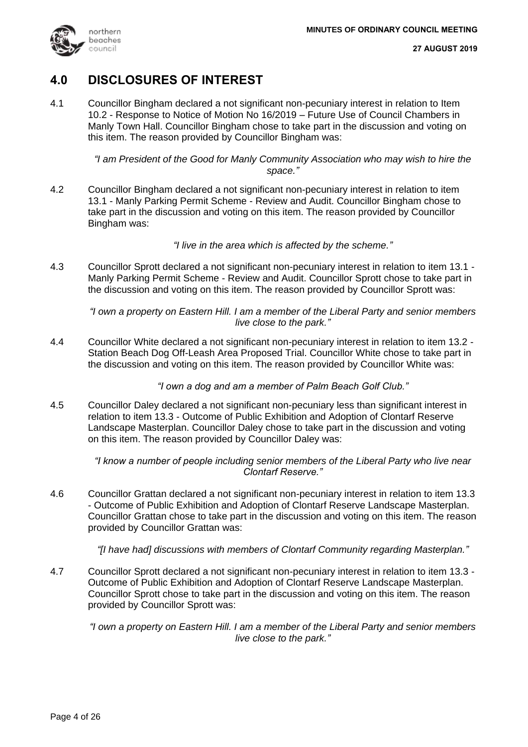

### **4.0 DISCLOSURES OF INTEREST**

4.1 Councillor Bingham declared a not significant non-pecuniary interest in relation to Item 10.2 - Response to Notice of Motion No 16/2019 – Future Use of Council Chambers in Manly Town Hall. Councillor Bingham chose to take part in the discussion and voting on this item. The reason provided by Councillor Bingham was:

> *"I am President of the Good for Manly Community Association who may wish to hire the space."*

4.2 Councillor Bingham declared a not significant non-pecuniary interest in relation to item 13.1 - Manly Parking Permit Scheme - Review and Audit. Councillor Bingham chose to take part in the discussion and voting on this item. The reason provided by Councillor Bingham was:

*"I live in the area which is affected by the scheme."*

4.3 Councillor Sprott declared a not significant non-pecuniary interest in relation to item 13.1 - Manly Parking Permit Scheme - Review and Audit. Councillor Sprott chose to take part in the discussion and voting on this item. The reason provided by Councillor Sprott was:

*"I own a property on Eastern Hill. I am a member of the Liberal Party and senior members live close to the park."*

4.4 Councillor White declared a not significant non-pecuniary interest in relation to item 13.2 - Station Beach Dog Off-Leash Area Proposed Trial. Councillor White chose to take part in the discussion and voting on this item. The reason provided by Councillor White was:

*"I own a dog and am a member of Palm Beach Golf Club."*

4.5 Councillor Daley declared a not significant non-pecuniary less than significant interest in relation to item 13.3 - Outcome of Public Exhibition and Adoption of Clontarf Reserve Landscape Masterplan. Councillor Daley chose to take part in the discussion and voting on this item. The reason provided by Councillor Daley was:

> *"I know a number of people including senior members of the Liberal Party who live near Clontarf Reserve."*

4.6 Councillor Grattan declared a not significant non-pecuniary interest in relation to item 13.3 - Outcome of Public Exhibition and Adoption of Clontarf Reserve Landscape Masterplan. Councillor Grattan chose to take part in the discussion and voting on this item. The reason provided by Councillor Grattan was:

*"[I have had] discussions with members of Clontarf Community regarding Masterplan."*

4.7 Councillor Sprott declared a not significant non-pecuniary interest in relation to item 13.3 - Outcome of Public Exhibition and Adoption of Clontarf Reserve Landscape Masterplan. Councillor Sprott chose to take part in the discussion and voting on this item. The reason provided by Councillor Sprott was:

*"I own a property on Eastern Hill. I am a member of the Liberal Party and senior members live close to the park."*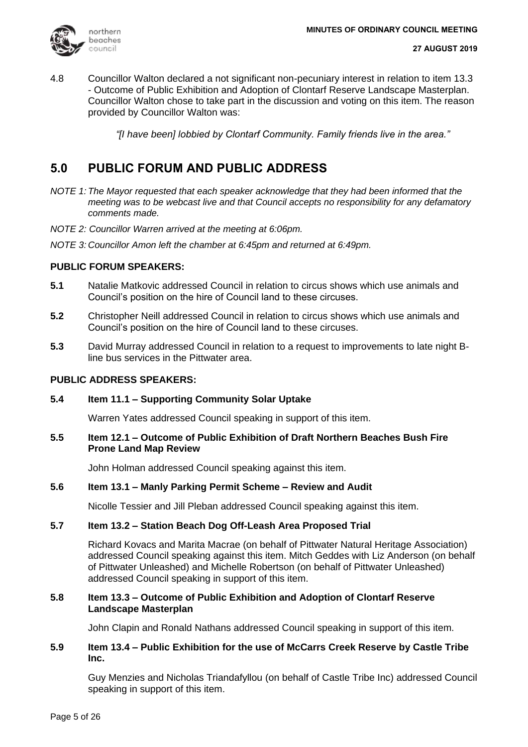

4.8 Councillor Walton declared a not significant non-pecuniary interest in relation to item 13.3 - Outcome of Public Exhibition and Adoption of Clontarf Reserve Landscape Masterplan. Councillor Walton chose to take part in the discussion and voting on this item. The reason provided by Councillor Walton was:

*"[I have been] lobbied by Clontarf Community. Family friends live in the area."*

### **5.0 PUBLIC FORUM AND PUBLIC ADDRESS**

- *NOTE 1: The Mayor requested that each speaker acknowledge that they had been informed that the meeting was to be webcast live and that Council accepts no responsibility for any defamatory comments made.*
- *NOTE 2: Councillor Warren arrived at the meeting at 6:06pm.*
- *NOTE 3: Councillor Amon left the chamber at 6:45pm and returned at 6:49pm.*

### **PUBLIC FORUM SPEAKERS:**

- **5.1** Natalie Matkovic addressed Council in relation to circus shows which use animals and Council's position on the hire of Council land to these circuses.
- **5.2** Christopher Neill addressed Council in relation to circus shows which use animals and Council's position on the hire of Council land to these circuses.
- **5.3** David Murray addressed Council in relation to a request to improvements to late night Bline bus services in the Pittwater area.

### **PUBLIC ADDRESS SPEAKERS:**

### **5.4 Item 11.1 – Supporting Community Solar Uptake**

Warren Yates addressed Council speaking in support of this item.

### **5.5 Item 12.1 – Outcome of Public Exhibition of Draft Northern Beaches Bush Fire Prone Land Map Review**

John Holman addressed Council speaking against this item.

### **5.6 Item 13.1 – Manly Parking Permit Scheme – Review and Audit**

Nicolle Tessier and Jill Pleban addressed Council speaking against this item.

### **5.7 Item 13.2 – Station Beach Dog Off-Leash Area Proposed Trial**

Richard Kovacs and Marita Macrae (on behalf of Pittwater Natural Heritage Association) addressed Council speaking against this item. Mitch Geddes with Liz Anderson (on behalf of Pittwater Unleashed) and Michelle Robertson (on behalf of Pittwater Unleashed) addressed Council speaking in support of this item.

### **5.8 Item 13.3 – Outcome of Public Exhibition and Adoption of Clontarf Reserve Landscape Masterplan**

John Clapin and Ronald Nathans addressed Council speaking in support of this item.

### **5.9 Item 13.4 – Public Exhibition for the use of McCarrs Creek Reserve by Castle Tribe Inc.**

Guy Menzies and Nicholas Triandafyllou (on behalf of Castle Tribe Inc) addressed Council speaking in support of this item.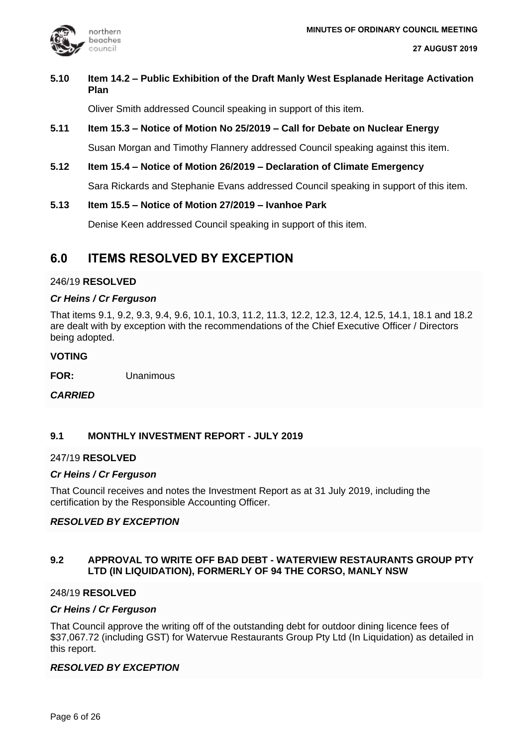

### **5.10 Item 14.2 – Public Exhibition of the Draft Manly West Esplanade Heritage Activation Plan**

Oliver Smith addressed Council speaking in support of this item.

## **5.11 Item 15.3 – Notice of Motion No 25/2019 – Call for Debate on Nuclear Energy**

Susan Morgan and Timothy Flannery addressed Council speaking against this item.

**5.12 Item 15.4 – Notice of Motion 26/2019 – Declaration of Climate Emergency** Sara Rickards and Stephanie Evans addressed Council speaking in support of this item.

### **5.13 Item 15.5 – Notice of Motion 27/2019 – Ivanhoe Park**

Denise Keen addressed Council speaking in support of this item.

### **6.0 ITEMS RESOLVED BY EXCEPTION**

### 246/19 **RESOLVED**

### *Cr Heins / Cr Ferguson*

That items 9.1, 9.2, 9.3, 9.4, 9.6, 10.1, 10.3, 11.2, 11.3, 12.2, 12.3, 12.4, 12.5, 14.1, 18.1 and 18.2 are dealt with by exception with the recommendations of the Chief Executive Officer / Directors being adopted.

### **VOTING**

**FOR:** Unanimous

*CARRIED*

### **9.1 MONTHLY INVESTMENT REPORT - JULY 2019**

### 247/19 **RESOLVED**

### *Cr Heins / Cr Ferguson*

That Council receives and notes the Investment Report as at 31 July 2019, including the certification by the Responsible Accounting Officer.

### *RESOLVED BY EXCEPTION*

### **9.2 APPROVAL TO WRITE OFF BAD DEBT - WATERVIEW RESTAURANTS GROUP PTY LTD (IN LIQUIDATION), FORMERLY OF 94 THE CORSO, MANLY NSW**

### 248/19 **RESOLVED**

### *Cr Heins / Cr Ferguson*

That Council approve the writing off of the outstanding debt for outdoor dining licence fees of \$37,067.72 (including GST) for Watervue Restaurants Group Pty Ltd (In Liquidation) as detailed in this report.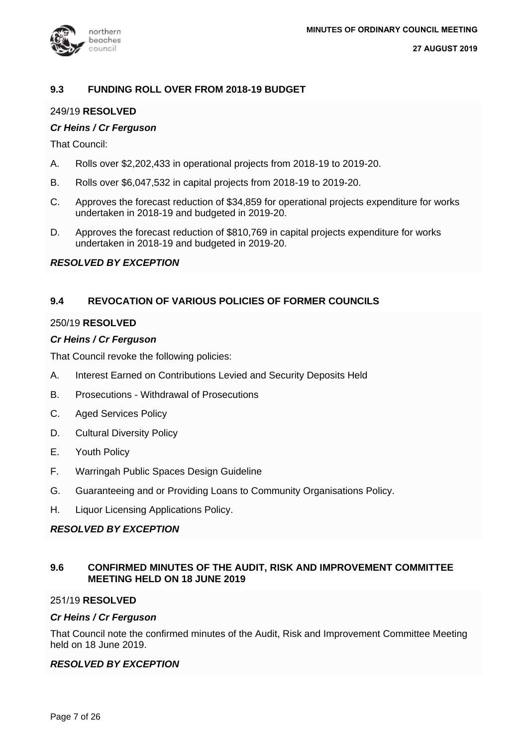

### **9.3 FUNDING ROLL OVER FROM 2018-19 BUDGET**

### 249/19 **RESOLVED**

### *Cr Heins / Cr Ferguson*

That Council:

- A. Rolls over \$2,202,433 in operational projects from 2018-19 to 2019-20.
- B. Rolls over \$6,047,532 in capital projects from 2018-19 to 2019-20.
- C. Approves the forecast reduction of \$34,859 for operational projects expenditure for works undertaken in 2018-19 and budgeted in 2019-20.
- D. Approves the forecast reduction of \$810,769 in capital projects expenditure for works undertaken in 2018-19 and budgeted in 2019-20.

### *RESOLVED BY EXCEPTION*

### **9.4 REVOCATION OF VARIOUS POLICIES OF FORMER COUNCILS**

### 250/19 **RESOLVED**

### *Cr Heins / Cr Ferguson*

That Council revoke the following policies:

- A. Interest Earned on Contributions Levied and Security Deposits Held
- B. Prosecutions Withdrawal of Prosecutions
- C. Aged Services Policy
- D. Cultural Diversity Policy
- E. Youth Policy
- F. Warringah Public Spaces Design Guideline
- G. Guaranteeing and or Providing Loans to Community Organisations Policy.
- H. Liquor Licensing Applications Policy.

### *RESOLVED BY EXCEPTION*

### **9.6 CONFIRMED MINUTES OF THE AUDIT, RISK AND IMPROVEMENT COMMITTEE MEETING HELD ON 18 JUNE 2019**

### 251/19 **RESOLVED**

### *Cr Heins / Cr Ferguson*

That Council note the confirmed minutes of the Audit, Risk and Improvement Committee Meeting held on 18 June 2019.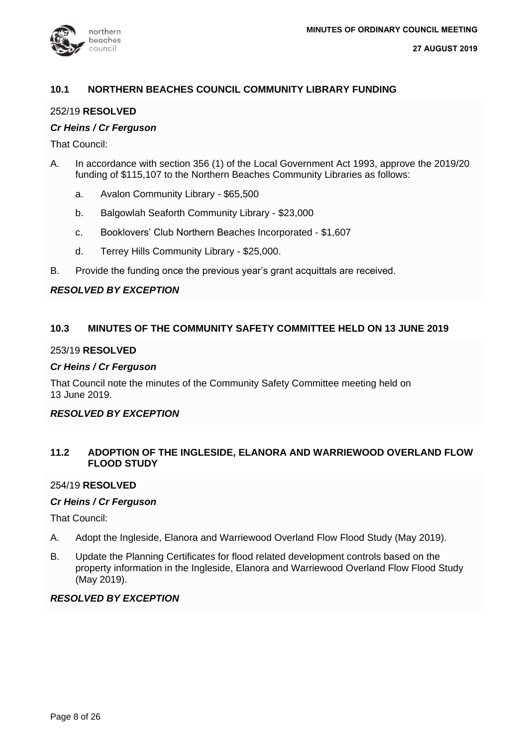

### **10.1 NORTHERN BEACHES COUNCIL COMMUNITY LIBRARY FUNDING**

### 252/19 **RESOLVED**

### *Cr Heins / Cr Ferguson*

That Council:

- A. In accordance with section 356 (1) of the Local Government Act 1993, approve the 2019/20 funding of \$115,107 to the Northern Beaches Community Libraries as follows:
	- a. Avalon Community Library \$65,500
	- b. Balgowlah Seaforth Community Library \$23,000
	- c. Booklovers' Club Northern Beaches Incorporated \$1,607
	- d. Terrey Hills Community Library \$25,000.
- B. Provide the funding once the previous year's grant acquittals are received.

### *RESOLVED BY EXCEPTION*

### **10.3 MINUTES OF THE COMMUNITY SAFETY COMMITTEE HELD ON 13 JUNE 2019**

### 253/19 **RESOLVED**

### *Cr Heins / Cr Ferguson*

That Council note the minutes of the Community Safety Committee meeting held on 13 June 2019.

### *RESOLVED BY EXCEPTION*

### **11.2 ADOPTION OF THE INGLESIDE, ELANORA AND WARRIEWOOD OVERLAND FLOW FLOOD STUDY**

### 254/19 **RESOLVED**

### *Cr Heins / Cr Ferguson*

That Council:

- A. Adopt the Ingleside, Elanora and Warriewood Overland Flow Flood Study (May 2019).
- B. Update the Planning Certificates for flood related development controls based on the property information in the Ingleside, Elanora and Warriewood Overland Flow Flood Study (May 2019).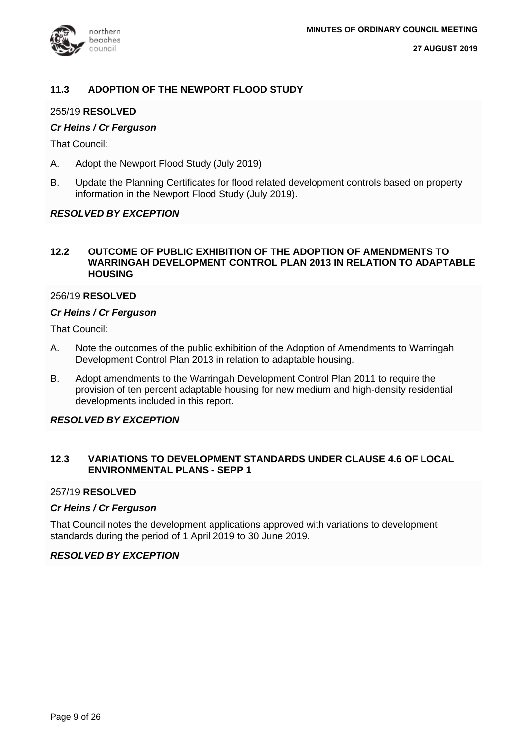

### **11.3 ADOPTION OF THE NEWPORT FLOOD STUDY**

### 255/19 **RESOLVED**

### *Cr Heins / Cr Ferguson*

That Council:

- A. Adopt the Newport Flood Study (July 2019)
- B. Update the Planning Certificates for flood related development controls based on property information in the Newport Flood Study (July 2019).

### *RESOLVED BY EXCEPTION*

### **12.2 OUTCOME OF PUBLIC EXHIBITION OF THE ADOPTION OF AMENDMENTS TO WARRINGAH DEVELOPMENT CONTROL PLAN 2013 IN RELATION TO ADAPTABLE HOUSING**

### 256/19 **RESOLVED**

#### *Cr Heins / Cr Ferguson*

That Council:

- A. Note the outcomes of the public exhibition of the Adoption of Amendments to Warringah Development Control Plan 2013 in relation to adaptable housing.
- B. Adopt amendments to the Warringah Development Control Plan 2011 to require the provision of ten percent adaptable housing for new medium and high-density residential developments included in this report.

### *RESOLVED BY EXCEPTION*

### **12.3 VARIATIONS TO DEVELOPMENT STANDARDS UNDER CLAUSE 4.6 OF LOCAL ENVIRONMENTAL PLANS - SEPP 1**

### 257/19 **RESOLVED**

### *Cr Heins / Cr Ferguson*

That Council notes the development applications approved with variations to development standards during the period of 1 April 2019 to 30 June 2019.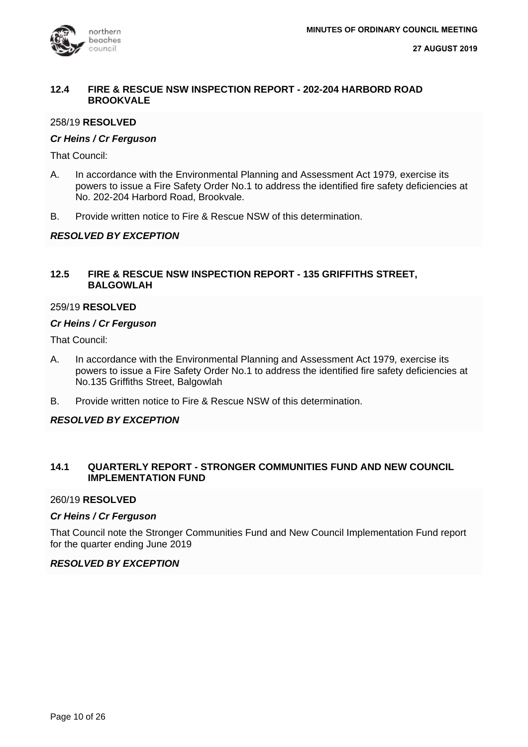

### **12.4 FIRE & RESCUE NSW INSPECTION REPORT - 202-204 HARBORD ROAD BROOKVALE**

### 258/19 **RESOLVED**

### *Cr Heins / Cr Ferguson*

That Council:

- A. In accordance with the Environmental Planning and Assessment Act 1979*,* exercise its powers to issue a Fire Safety Order No.1 to address the identified fire safety deficiencies at No. 202-204 Harbord Road, Brookvale.
- B. Provide written notice to Fire & Rescue NSW of this determination.

### *RESOLVED BY EXCEPTION*

### **12.5 FIRE & RESCUE NSW INSPECTION REPORT - 135 GRIFFITHS STREET, BALGOWLAH**

### 259/19 **RESOLVED**

### *Cr Heins / Cr Ferguson*

That Council:

- A. In accordance with the Environmental Planning and Assessment Act 1979*,* exercise its powers to issue a Fire Safety Order No.1 to address the identified fire safety deficiencies at No.135 Griffiths Street, Balgowlah
- B. Provide written notice to Fire & Rescue NSW of this determination.

### *RESOLVED BY EXCEPTION*

### **14.1 QUARTERLY REPORT - STRONGER COMMUNITIES FUND AND NEW COUNCIL IMPLEMENTATION FUND**

### 260/19 **RESOLVED**

### *Cr Heins / Cr Ferguson*

That Council note the Stronger Communities Fund and New Council Implementation Fund report for the quarter ending June 2019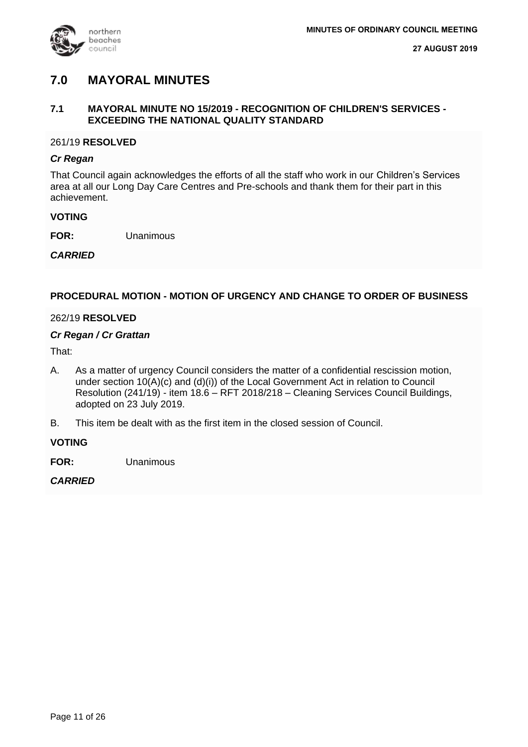

### **7.0 MAYORAL MINUTES**

### **7.1 MAYORAL MINUTE NO 15/2019 - RECOGNITION OF CHILDREN'S SERVICES - EXCEEDING THE NATIONAL QUALITY STANDARD**

### 261/19 **RESOLVED**

### *Cr Regan*

That Council again acknowledges the efforts of all the staff who work in our Children's Services area at all our Long Day Care Centres and Pre-schools and thank them for their part in this achievement.

### **VOTING**

**FOR:** Unanimous

### *CARRIED*

### **PROCEDURAL MOTION - MOTION OF URGENCY AND CHANGE TO ORDER OF BUSINESS**

### 262/19 **RESOLVED**

### *Cr Regan / Cr Grattan*

That:

- A. As a matter of urgency Council considers the matter of a confidential rescission motion, under section 10(A)(c) and (d)(i)) of the Local Government Act in relation to Council Resolution (241/19) - item 18.6 – RFT 2018/218 – Cleaning Services Council Buildings, adopted on 23 July 2019.
- B. This item be dealt with as the first item in the closed session of Council.

### **VOTING**

**FOR:** Unanimous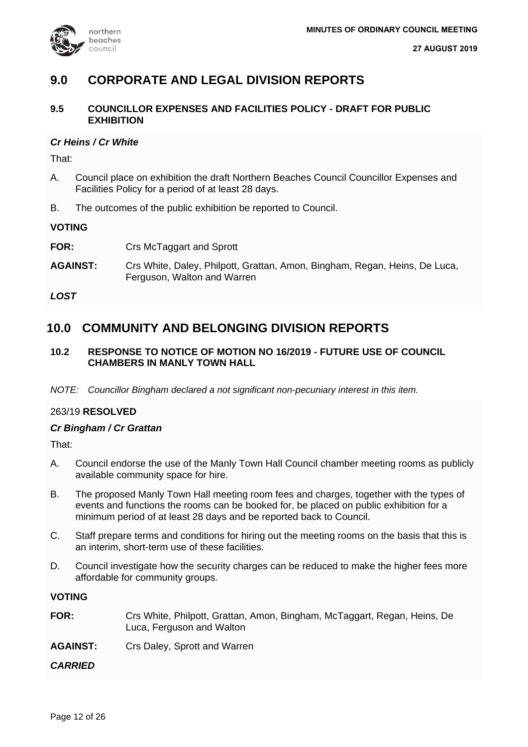

### **9.0 CORPORATE AND LEGAL DIVISION REPORTS**

### **9.5 COUNCILLOR EXPENSES AND FACILITIES POLICY - DRAFT FOR PUBLIC EXHIBITION**

### *Cr Heins / Cr White*

That:

- A. Council place on exhibition the draft Northern Beaches Council Councillor Expenses and Facilities Policy for a period of at least 28 days.
- B. The outcomes of the public exhibition be reported to Council.

### **VOTING**

- **FOR:** Crs McTaggart and Sprott
- **AGAINST:** Crs White, Daley, Philpott, Grattan, Amon, Bingham, Regan, Heins, De Luca, Ferguson, Walton and Warren

*LOST*

### **10.0 COMMUNITY AND BELONGING DIVISION REPORTS**

### **10.2 RESPONSE TO NOTICE OF MOTION NO 16/2019 - FUTURE USE OF COUNCIL CHAMBERS IN MANLY TOWN HALL**

*NOTE: Councillor Bingham declared a not significant non-pecuniary interest in this item.*

### 263/19 **RESOLVED**

### *Cr Bingham / Cr Grattan*

That:

- A. Council endorse the use of the Manly Town Hall Council chamber meeting rooms as publicly available community space for hire.
- B. The proposed Manly Town Hall meeting room fees and charges, together with the types of events and functions the rooms can be booked for, be placed on public exhibition for a minimum period of at least 28 days and be reported back to Council.
- C. Staff prepare terms and conditions for hiring out the meeting rooms on the basis that this is an interim, short-term use of these facilities.
- D. Council investigate how the security charges can be reduced to make the higher fees more affordable for community groups.

### **VOTING**

| FOR:            | Crs White, Philpott, Grattan, Amon, Bingham, McTaggart, Regan, Heins, De<br>Luca, Ferguson and Walton |
|-----------------|-------------------------------------------------------------------------------------------------------|
| <b>AGAINST:</b> | Crs Daley, Sprott and Warren                                                                          |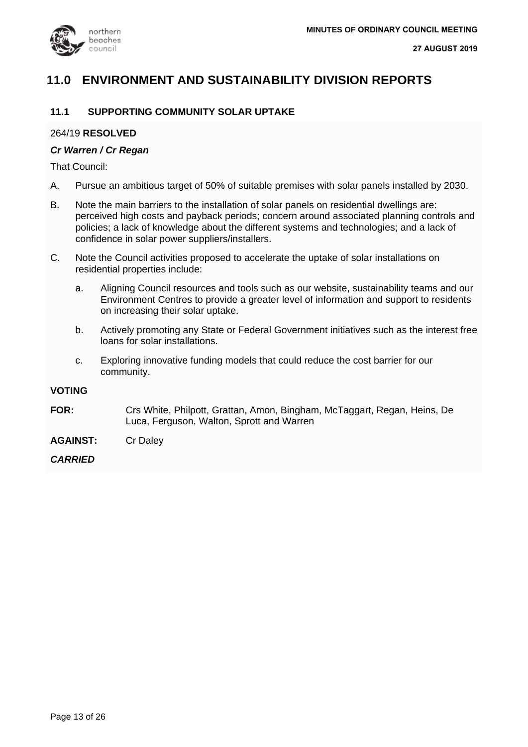

### **11.0 ENVIRONMENT AND SUSTAINABILITY DIVISION REPORTS**

### **11.1 SUPPORTING COMMUNITY SOLAR UPTAKE**

#### 264/19 **RESOLVED**

#### *Cr Warren / Cr Regan*

That Council:

- A. Pursue an ambitious target of 50% of suitable premises with solar panels installed by 2030.
- B. Note the main barriers to the installation of solar panels on residential dwellings are: perceived high costs and payback periods; concern around associated planning controls and policies; a lack of knowledge about the different systems and technologies; and a lack of confidence in solar power suppliers/installers.
- C. Note the Council activities proposed to accelerate the uptake of solar installations on residential properties include:
	- a. Aligning Council resources and tools such as our website, sustainability teams and our Environment Centres to provide a greater level of information and support to residents on increasing their solar uptake.
	- b. Actively promoting any State or Federal Government initiatives such as the interest free loans for solar installations.
	- c. Exploring innovative funding models that could reduce the cost barrier for our community.

#### **VOTING**

- **FOR:** Crs White, Philpott, Grattan, Amon, Bingham, McTaggart, Regan, Heins, De Luca, Ferguson, Walton, Sprott and Warren
- **AGAINST:** Cr Daley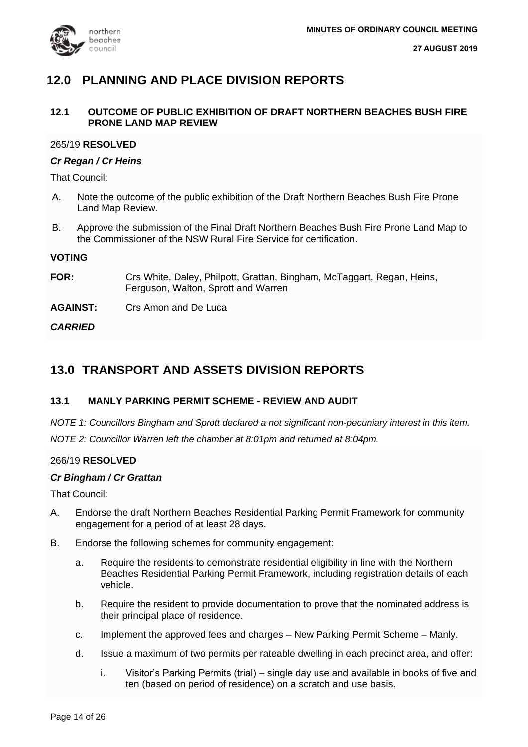

### **12.0 PLANNING AND PLACE DIVISION REPORTS**

### **12.1 OUTCOME OF PUBLIC EXHIBITION OF DRAFT NORTHERN BEACHES BUSH FIRE PRONE LAND MAP REVIEW**

### 265/19 **RESOLVED**

### *Cr Regan / Cr Heins*

That Council:

- A. Note the outcome of the public exhibition of the Draft Northern Beaches Bush Fire Prone Land Map Review.
- B. Approve the submission of the Final Draft Northern Beaches Bush Fire Prone Land Map to the Commissioner of the NSW Rural Fire Service for certification.

### **VOTING**

**FOR:** Crs White, Daley, Philpott, Grattan, Bingham, McTaggart, Regan, Heins, Ferguson, Walton, Sprott and Warren

**AGAINST:** Crs Amon and De Luca

*CARRIED*

### **13.0 TRANSPORT AND ASSETS DIVISION REPORTS**

### **13.1 MANLY PARKING PERMIT SCHEME - REVIEW AND AUDIT**

*NOTE 1: Councillors Bingham and Sprott declared a not significant non-pecuniary interest in this item. NOTE 2: Councillor Warren left the chamber at 8:01pm and returned at 8:04pm.*

### 266/19 **RESOLVED**

### *Cr Bingham / Cr Grattan*

That Council:

- A. Endorse the draft Northern Beaches Residential Parking Permit Framework for community engagement for a period of at least 28 days.
- B. Endorse the following schemes for community engagement:
	- a. Require the residents to demonstrate residential eligibility in line with the Northern Beaches Residential Parking Permit Framework, including registration details of each vehicle.
	- b. Require the resident to provide documentation to prove that the nominated address is their principal place of residence.
	- c. Implement the approved fees and charges New Parking Permit Scheme Manly.
	- d. Issue a maximum of two permits per rateable dwelling in each precinct area, and offer:
		- i. Visitor's Parking Permits (trial) single day use and available in books of five and ten (based on period of residence) on a scratch and use basis.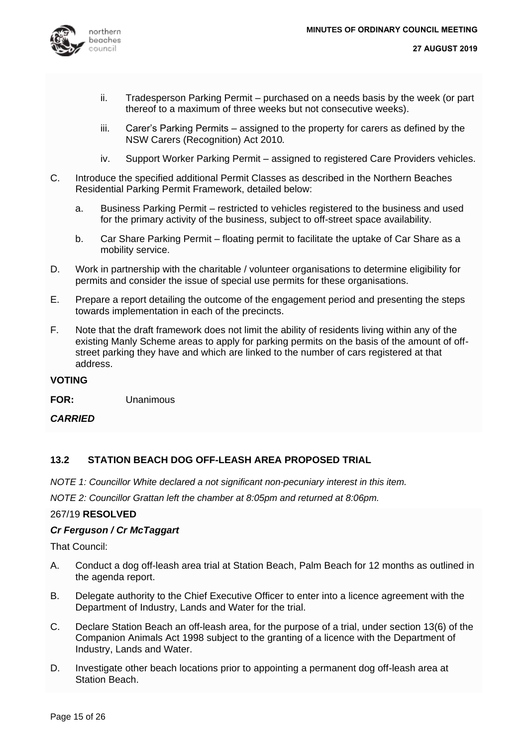

- ii. Tradesperson Parking Permit purchased on a needs basis by the week (or part thereof to a maximum of three weeks but not consecutive weeks).
- iii. Carer's Parking Permits assigned to the property for carers as defined by the NSW Carers (Recognition) Act 2010*.*
- iv. Support Worker Parking Permit assigned to registered Care Providers vehicles.
- C. Introduce the specified additional Permit Classes as described in the Northern Beaches Residential Parking Permit Framework, detailed below:
	- a. Business Parking Permit restricted to vehicles registered to the business and used for the primary activity of the business, subject to off-street space availability.
	- b. Car Share Parking Permit floating permit to facilitate the uptake of Car Share as a mobility service.
- D. Work in partnership with the charitable / volunteer organisations to determine eligibility for permits and consider the issue of special use permits for these organisations.
- E. Prepare a report detailing the outcome of the engagement period and presenting the steps towards implementation in each of the precincts.
- F. Note that the draft framework does not limit the ability of residents living within any of the existing Manly Scheme areas to apply for parking permits on the basis of the amount of offstreet parking they have and which are linked to the number of cars registered at that address.

### **VOTING**

**FOR:** Unanimous

*CARRIED*

### **13.2 STATION BEACH DOG OFF-LEASH AREA PROPOSED TRIAL**

*NOTE 1: Councillor White declared a not significant non-pecuniary interest in this item.*

*NOTE 2: Councillor Grattan left the chamber at 8:05pm and returned at 8:06pm.*

### 267/19 **RESOLVED**

### *Cr Ferguson / Cr McTaggart*

That Council:

- A. Conduct a dog off-leash area trial at Station Beach, Palm Beach for 12 months as outlined in the agenda report.
- B. Delegate authority to the Chief Executive Officer to enter into a licence agreement with the Department of Industry, Lands and Water for the trial.
- C. Declare Station Beach an off-leash area, for the purpose of a trial, under section 13(6) of the Companion Animals Act 1998 subject to the granting of a licence with the Department of Industry, Lands and Water.
- D. Investigate other beach locations prior to appointing a permanent dog off-leash area at Station Beach.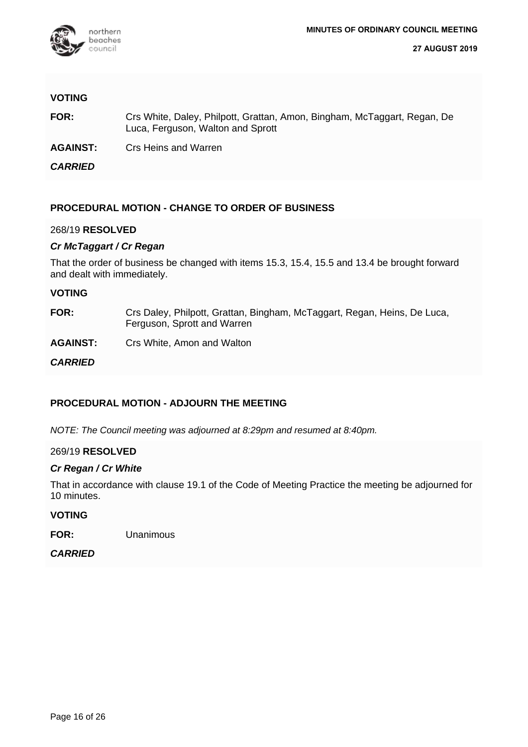

### **VOTING**

- **FOR:** Crs White, Daley, Philpott, Grattan, Amon, Bingham, McTaggart, Regan, De Luca, Ferguson, Walton and Sprott
- **AGAINST:** Crs Heins and Warren

*CARRIED*

### **PROCEDURAL MOTION - CHANGE TO ORDER OF BUSINESS**

### 268/19 **RESOLVED**

### *Cr McTaggart / Cr Regan*

That the order of business be changed with items 15.3, 15.4, 15.5 and 13.4 be brought forward and dealt with immediately.

#### **VOTING**

- **FOR:** Crs Daley, Philpott, Grattan, Bingham, McTaggart, Regan, Heins, De Luca, Ferguson, Sprott and Warren
- **AGAINST:** Crs White, Amon and Walton

*CARRIED*

### **PROCEDURAL MOTION - ADJOURN THE MEETING**

*NOTE: The Council meeting was adjourned at 8:29pm and resumed at 8:40pm.*

### 269/19 **RESOLVED**

### *Cr Regan / Cr White*

That in accordance with clause 19.1 of the Code of Meeting Practice the meeting be adjourned for 10 minutes.

### **VOTING**

**FOR:** Unanimous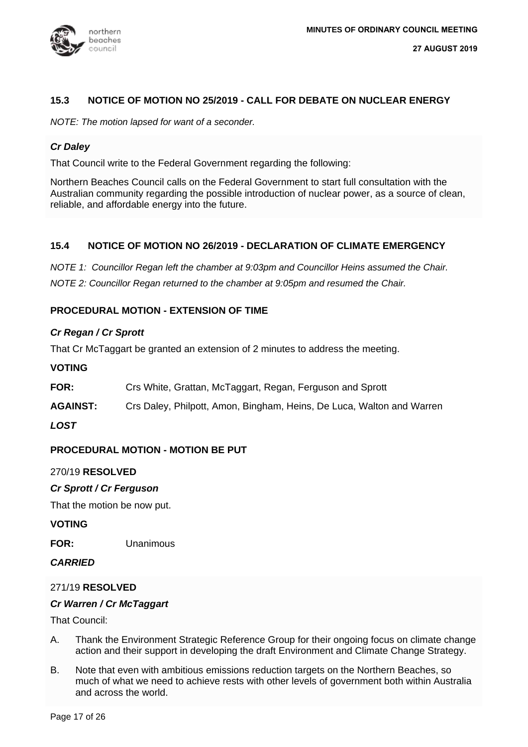

### **15.3 NOTICE OF MOTION NO 25/2019 - CALL FOR DEBATE ON NUCLEAR ENERGY**

*NOTE: The motion lapsed for want of a seconder.*

### *Cr Daley*

That Council write to the Federal Government regarding the following:

Northern Beaches Council calls on the Federal Government to start full consultation with the Australian community regarding the possible introduction of nuclear power, as a source of clean, reliable, and affordable energy into the future.

### **15.4 NOTICE OF MOTION NO 26/2019 - DECLARATION OF CLIMATE EMERGENCY**

*NOTE 1: Councillor Regan left the chamber at 9:03pm and Councillor Heins assumed the Chair. NOTE 2: Councillor Regan returned to the chamber at 9:05pm and resumed the Chair.*

### **PROCEDURAL MOTION - EXTENSION OF TIME**

### *Cr Regan / Cr Sprott*

That Cr McTaggart be granted an extension of 2 minutes to address the meeting.

### **VOTING**

- **FOR:** Crs White, Grattan, McTaggart, Regan, Ferguson and Sprott
- **AGAINST:** Crs Daley, Philpott, Amon, Bingham, Heins, De Luca, Walton and Warren

### *LOST*

### **PROCEDURAL MOTION - MOTION BE PUT**

### 270/19 **RESOLVED**

### *Cr Sprott / Cr Ferguson*

That the motion be now put.

### **VOTING**

**FOR:** Unanimous

### *CARRIED*

### 271/19 **RESOLVED**

### *Cr Warren / Cr McTaggart*

That Council:

- A. Thank the Environment Strategic Reference Group for their ongoing focus on climate change action and their support in developing the draft Environment and Climate Change Strategy.
- B. Note that even with ambitious emissions reduction targets on the Northern Beaches, so much of what we need to achieve rests with other levels of government both within Australia and across the world.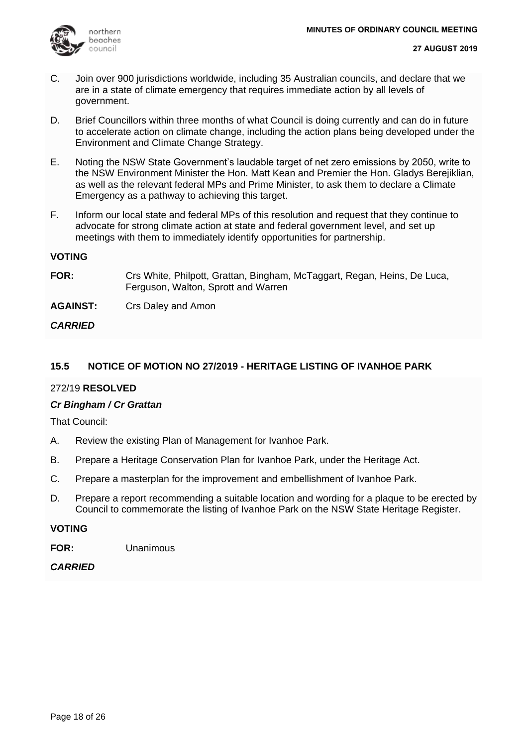

- C. Join over 900 jurisdictions worldwide, including 35 Australian councils, and declare that we are in a state of climate emergency that requires immediate action by all levels of government.
- D. Brief Councillors within three months of what Council is doing currently and can do in future to accelerate action on climate change, including the action plans being developed under the Environment and Climate Change Strategy.
- E. Noting the NSW State Government's laudable target of net zero emissions by 2050, write to the NSW Environment Minister the Hon. Matt Kean and Premier the Hon. Gladys Berejiklian, as well as the relevant federal MPs and Prime Minister, to ask them to declare a Climate Emergency as a pathway to achieving this target.
- F. Inform our local state and federal MPs of this resolution and request that they continue to advocate for strong climate action at state and federal government level, and set up meetings with them to immediately identify opportunities for partnership.

### **VOTING**

**FOR:** Crs White, Philpott, Grattan, Bingham, McTaggart, Regan, Heins, De Luca, Ferguson, Walton, Sprott and Warren

**AGAINST:** Crs Daley and Amon

### *CARRIED*

### **15.5 NOTICE OF MOTION NO 27/2019 - HERITAGE LISTING OF IVANHOE PARK**

### 272/19 **RESOLVED**

### *Cr Bingham / Cr Grattan*

That Council:

- A. Review the existing Plan of Management for Ivanhoe Park.
- B. Prepare a Heritage Conservation Plan for Ivanhoe Park, under the Heritage Act.
- C. Prepare a masterplan for the improvement and embellishment of Ivanhoe Park.
- D. Prepare a report recommending a suitable location and wording for a plaque to be erected by Council to commemorate the listing of Ivanhoe Park on the NSW State Heritage Register.

### **VOTING**

**FOR:** Unanimous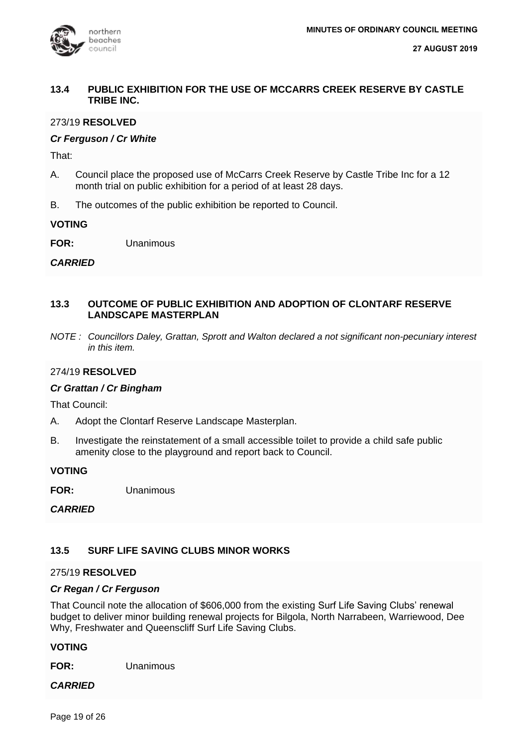

### **13.4 PUBLIC EXHIBITION FOR THE USE OF MCCARRS CREEK RESERVE BY CASTLE TRIBE INC.**

### 273/19 **RESOLVED**

### *Cr Ferguson / Cr White*

That:

- A. Council place the proposed use of McCarrs Creek Reserve by Castle Tribe Inc for a 12 month trial on public exhibition for a period of at least 28 days.
- B. The outcomes of the public exhibition be reported to Council.

**VOTING**

**FOR:** Unanimous

### *CARRIED*

### **13.3 OUTCOME OF PUBLIC EXHIBITION AND ADOPTION OF CLONTARF RESERVE LANDSCAPE MASTERPLAN**

*NOTE : Councillors Daley, Grattan, Sprott and Walton declared a not significant non-pecuniary interest in this item.*

### 274/19 **RESOLVED**

### *Cr Grattan / Cr Bingham*

That Council:

- A. Adopt the Clontarf Reserve Landscape Masterplan.
- B. Investigate the reinstatement of a small accessible toilet to provide a child safe public amenity close to the playground and report back to Council.

### **VOTING**

**FOR:** Unanimous

*CARRIED*

### **13.5 SURF LIFE SAVING CLUBS MINOR WORKS**

### 275/19 **RESOLVED**

### *Cr Regan / Cr Ferguson*

That Council note the allocation of \$606,000 from the existing Surf Life Saving Clubs' renewal budget to deliver minor building renewal projects for Bilgola, North Narrabeen, Warriewood, Dee Why, Freshwater and Queenscliff Surf Life Saving Clubs.

### **VOTING**

**FOR:** Unanimous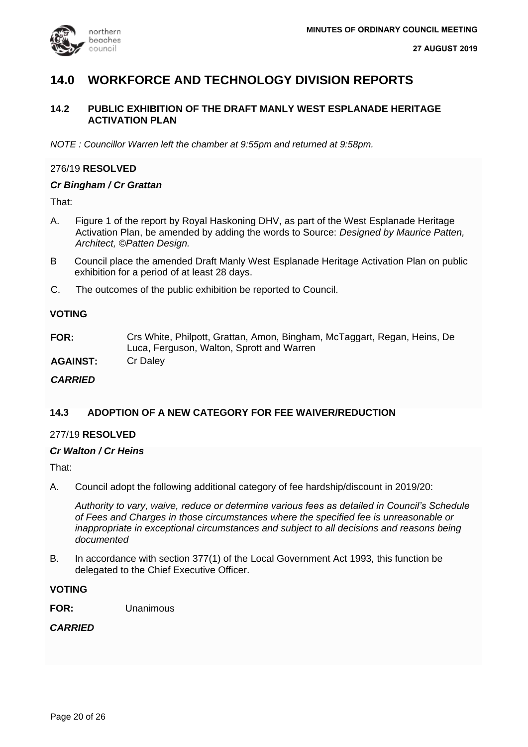

### **14.0 WORKFORCE AND TECHNOLOGY DIVISION REPORTS**

### **14.2 PUBLIC EXHIBITION OF THE DRAFT MANLY WEST ESPLANADE HERITAGE ACTIVATION PLAN**

*NOTE : Councillor Warren left the chamber at 9:55pm and returned at 9:58pm.*

### 276/19 **RESOLVED**

### *Cr Bingham / Cr Grattan*

That:

- A. Figure 1 of the report by Royal Haskoning DHV, as part of the West Esplanade Heritage Activation Plan, be amended by adding the words to Source: *Designed by Maurice Patten, Architect, ©Patten Design.*
- B Council place the amended Draft Manly West Esplanade Heritage Activation Plan on public exhibition for a period of at least 28 days.
- C. The outcomes of the public exhibition be reported to Council.

### **VOTING**

**FOR:** Crs White, Philpott, Grattan, Amon, Bingham, McTaggart, Regan, Heins, De Luca, Ferguson, Walton, Sprott and Warren

**AGAINST:** Cr Daley

### *CARRIED*

### **14.3 ADOPTION OF A NEW CATEGORY FOR FEE WAIVER/REDUCTION**

### 277/19 **RESOLVED**

### *Cr Walton / Cr Heins*

That:

A. Council adopt the following additional category of fee hardship/discount in 2019/20:

*Authority to vary, waive, reduce or determine various fees as detailed in Council's Schedule of Fees and Charges in those circumstances where the specified fee is unreasonable or inappropriate in exceptional circumstances and subject to all decisions and reasons being documented*

B. In accordance with section 377(1) of the Local Government Act 1993*,* this function be delegated to the Chief Executive Officer.

**VOTING**

**FOR:** Unanimous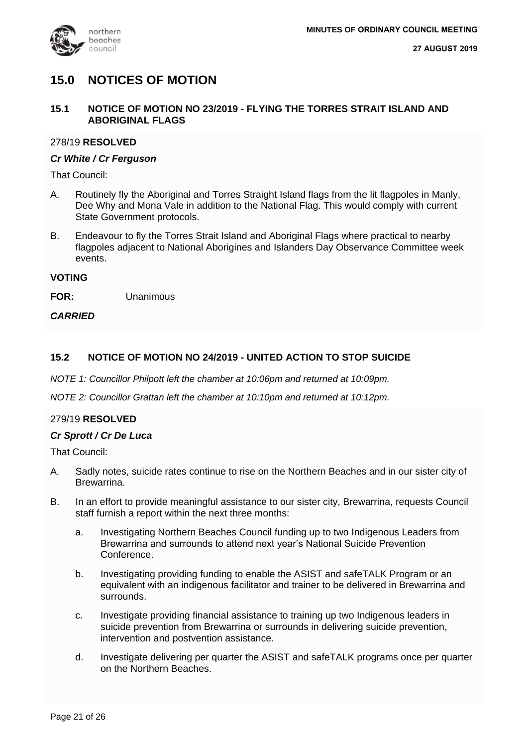

### **15.0 NOTICES OF MOTION**

### **15.1 NOTICE OF MOTION NO 23/2019 - FLYING THE TORRES STRAIT ISLAND AND ABORIGINAL FLAGS**

### 278/19 **RESOLVED**

### *Cr White / Cr Ferguson*

That Council:

- A. Routinely fly the Aboriginal and Torres Straight Island flags from the lit flagpoles in Manly, Dee Why and Mona Vale in addition to the National Flag. This would comply with current State Government protocols.
- B. Endeavour to fly the Torres Strait Island and Aboriginal Flags where practical to nearby flagpoles adjacent to National Aborigines and Islanders Day Observance Committee week events.

### **VOTING**

**FOR:** Unanimous

### *CARRIED*

### **15.2 NOTICE OF MOTION NO 24/2019 - UNITED ACTION TO STOP SUICIDE**

*NOTE 1: Councillor Philpott left the chamber at 10:06pm and returned at 10:09pm.*

*NOTE 2: Councillor Grattan left the chamber at 10:10pm and returned at 10:12pm.*

### 279/19 **RESOLVED**

### *Cr Sprott / Cr De Luca*

That Council:

- A. Sadly notes, suicide rates continue to rise on the Northern Beaches and in our sister city of Brewarrina.
- B. In an effort to provide meaningful assistance to our sister city, Brewarrina, requests Council staff furnish a report within the next three months:
	- a. Investigating Northern Beaches Council funding up to two Indigenous Leaders from Brewarrina and surrounds to attend next year's National Suicide Prevention Conference.
	- b. Investigating providing funding to enable the ASIST and safeTALK Program or an equivalent with an indigenous facilitator and trainer to be delivered in Brewarrina and surrounds.
	- c. Investigate providing financial assistance to training up two Indigenous leaders in suicide prevention from Brewarrina or surrounds in delivering suicide prevention, intervention and postvention assistance.
	- d. Investigate delivering per quarter the ASIST and safeTALK programs once per quarter on the Northern Beaches.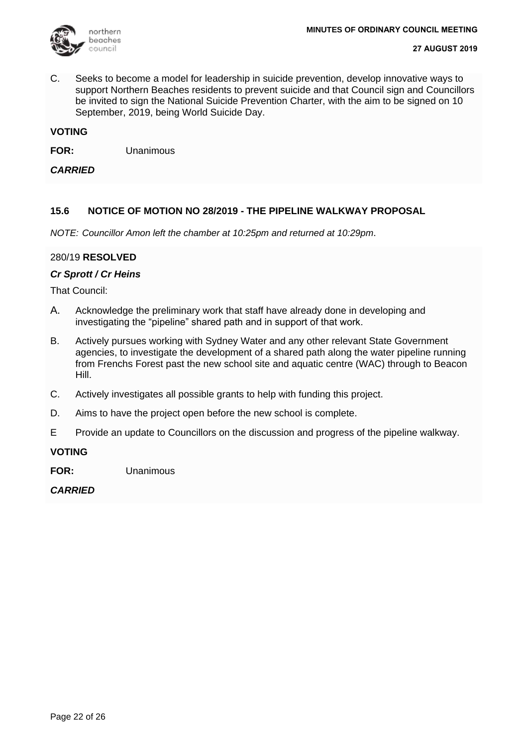

C. Seeks to become a model for leadership in suicide prevention, develop innovative ways to support Northern Beaches residents to prevent suicide and that Council sign and Councillors be invited to sign the National Suicide Prevention Charter, with the aim to be signed on 10 September, 2019, being World Suicide Day.

### **VOTING**

**FOR:** Unanimous

*CARRIED*

### **15.6 NOTICE OF MOTION NO 28/2019 - THE PIPELINE WALKWAY PROPOSAL**

*NOTE: Councillor Amon left the chamber at 10:25pm and returned at 10:29pm*.

### 280/19 **RESOLVED**

### *Cr Sprott / Cr Heins*

That Council:

- A. Acknowledge the preliminary work that staff have already done in developing and investigating the "pipeline" shared path and in support of that work.
- B. Actively pursues working with Sydney Water and any other relevant State Government agencies, to investigate the development of a shared path along the water pipeline running from Frenchs Forest past the new school site and aquatic centre (WAC) through to Beacon Hill.
- C. Actively investigates all possible grants to help with funding this project.
- D. Aims to have the project open before the new school is complete.
- E Provide an update to Councillors on the discussion and progress of the pipeline walkway.

### **VOTING**

**FOR:** Unanimous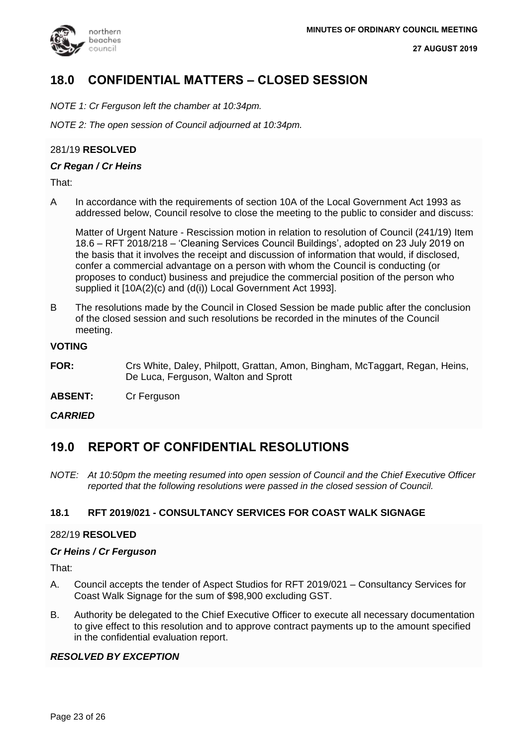

### **18.0 CONFIDENTIAL MATTERS – CLOSED SESSION**

*NOTE 1: Cr Ferguson left the chamber at 10:34pm.*

*NOTE 2: The open session of Council adjourned at 10:34pm.*

### 281/19 **RESOLVED**

### *Cr Regan / Cr Heins*

That:

A In accordance with the requirements of section 10A of the Local Government Act 1993 as addressed below, Council resolve to close the meeting to the public to consider and discuss:

Matter of Urgent Nature - Rescission motion in relation to resolution of Council (241/19) Item 18.6 – RFT 2018/218 – 'Cleaning Services Council Buildings', adopted on 23 July 2019 on the basis that it involves the receipt and discussion of information that would, if disclosed, confer a commercial advantage on a person with whom the Council is conducting (or proposes to conduct) business and prejudice the commercial position of the person who supplied it [10A(2)(c) and (d(i)) Local Government Act 1993].

B The resolutions made by the Council in Closed Session be made public after the conclusion of the closed session and such resolutions be recorded in the minutes of the Council meeting.

### **VOTING**

- **FOR:** Crs White, Daley, Philpott, Grattan, Amon, Bingham, McTaggart, Regan, Heins, De Luca, Ferguson, Walton and Sprott
- **ABSENT:** Cr Ferguson

### *CARRIED*

### **19.0 REPORT OF CONFIDENTIAL RESOLUTIONS**

*NOTE: At 10:50pm the meeting resumed into open session of Council and the Chief Executive Officer reported that the following resolutions were passed in the closed session of Council.*

### **18.1 RFT 2019/021 - CONSULTANCY SERVICES FOR COAST WALK SIGNAGE**

### 282/19 **RESOLVED**

### *Cr Heins / Cr Ferguson*

That:

- A. Council accepts the tender of Aspect Studios for RFT 2019/021 Consultancy Services for Coast Walk Signage for the sum of \$98,900 excluding GST.
- B. Authority be delegated to the Chief Executive Officer to execute all necessary documentation to give effect to this resolution and to approve contract payments up to the amount specified in the confidential evaluation report.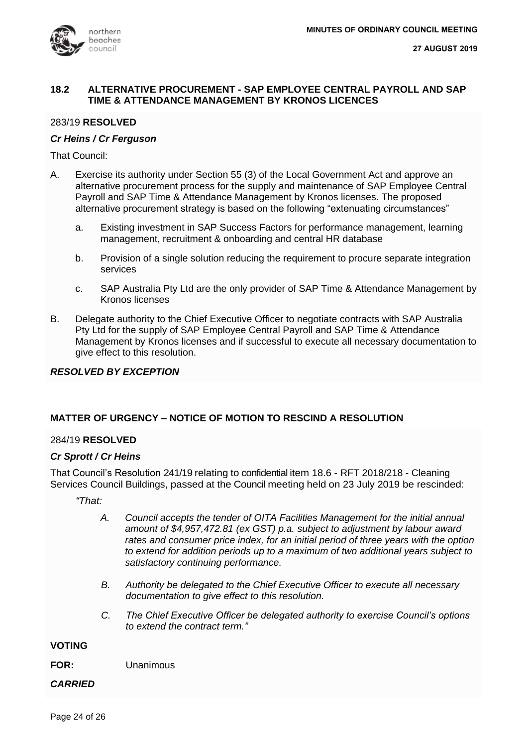### **18.2 ALTERNATIVE PROCUREMENT - SAP EMPLOYEE CENTRAL PAYROLL AND SAP TIME & ATTENDANCE MANAGEMENT BY KRONOS LICENCES**

### 283/19 **RESOLVED**

### *Cr Heins / Cr Ferguson*

That Council:

- A. Exercise its authority under Section 55 (3) of the Local Government Act and approve an alternative procurement process for the supply and maintenance of SAP Employee Central Payroll and SAP Time & Attendance Management by Kronos licenses. The proposed alternative procurement strategy is based on the following "extenuating circumstances"
	- a. Existing investment in SAP Success Factors for performance management, learning management, recruitment & onboarding and central HR database
	- b. Provision of a single solution reducing the requirement to procure separate integration services
	- c. SAP Australia Pty Ltd are the only provider of SAP Time & Attendance Management by Kronos licenses
- B. Delegate authority to the Chief Executive Officer to negotiate contracts with SAP Australia Pty Ltd for the supply of SAP Employee Central Payroll and SAP Time & Attendance Management by Kronos licenses and if successful to execute all necessary documentation to give effect to this resolution.

### *RESOLVED BY EXCEPTION*

### **MATTER OF URGENCY – NOTICE OF MOTION TO RESCIND A RESOLUTION**

### 284/19 **RESOLVED**

### *Cr Sprott / Cr Heins*

That Council's Resolution 241/19 relating to confidential item 18.6 - RFT 2018/218 - Cleaning Services Council Buildings, passed at the Council meeting held on 23 July 2019 be rescinded:

*"That:*

- *A. Council accepts the tender of OITA Facilities Management for the initial annual amount of \$4,957,472.81 (ex GST) p.a. subject to adjustment by labour award rates and consumer price index, for an initial period of three years with the option to extend for addition periods up to a maximum of two additional years subject to satisfactory continuing performance.*
- *B. Authority be delegated to the Chief Executive Officer to execute all necessary documentation to give effect to this resolution.*
- *C. The Chief Executive Officer be delegated authority to exercise Council's options to extend the contract term."*

### **VOTING**

**FOR:** Unanimous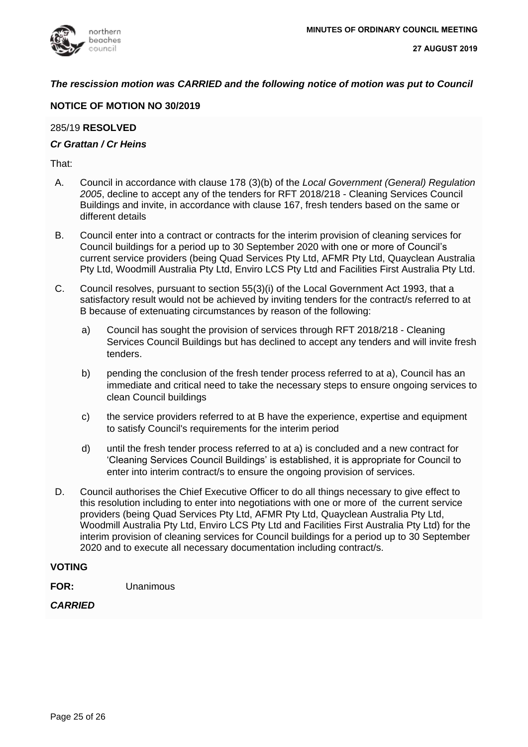

### *The rescission motion was CARRIED and the following notice of motion was put to Council*

### **NOTICE OF MOTION NO 30/2019**

### 285/19 **RESOLVED**

### *Cr Grattan / Cr Heins*

That:

- A. Council in accordance with clause 178 (3)(b) of the *Local Government (General) Regulation 2005*, decline to accept any of the tenders for RFT 2018/218 - Cleaning Services Council Buildings and invite, in accordance with clause 167, fresh tenders based on the same or different details
- B. Council enter into a contract or contracts for the interim provision of cleaning services for Council buildings for a period up to 30 September 2020 with one or more of Council's current service providers (being Quad Services Pty Ltd, AFMR Pty Ltd, Quayclean Australia Pty Ltd, Woodmill Australia Pty Ltd, Enviro LCS Pty Ltd and Facilities First Australia Pty Ltd.
- C. Council resolves, pursuant to section 55(3)(i) of the Local Government Act 1993, that a satisfactory result would not be achieved by inviting tenders for the contract/s referred to at B because of extenuating circumstances by reason of the following:
	- a) Council has sought the provision of services through RFT 2018/218 Cleaning Services Council Buildings but has declined to accept any tenders and will invite fresh tenders.
	- b) pending the conclusion of the fresh tender process referred to at a), Council has an immediate and critical need to take the necessary steps to ensure ongoing services to clean Council buildings
	- c) the service providers referred to at B have the experience, expertise and equipment to satisfy Council's requirements for the interim period
	- d) until the fresh tender process referred to at a) is concluded and a new contract for 'Cleaning Services Council Buildings' is established, it is appropriate for Council to enter into interim contract/s to ensure the ongoing provision of services.
- D. Council authorises the Chief Executive Officer to do all things necessary to give effect to this resolution including to enter into negotiations with one or more of the current service providers (being Quad Services Pty Ltd, AFMR Pty Ltd, Quayclean Australia Pty Ltd, Woodmill Australia Pty Ltd, Enviro LCS Pty Ltd and Facilities First Australia Pty Ltd) for the interim provision of cleaning services for Council buildings for a period up to 30 September 2020 and to execute all necessary documentation including contract/s.

### **VOTING**

**FOR:** Unanimous